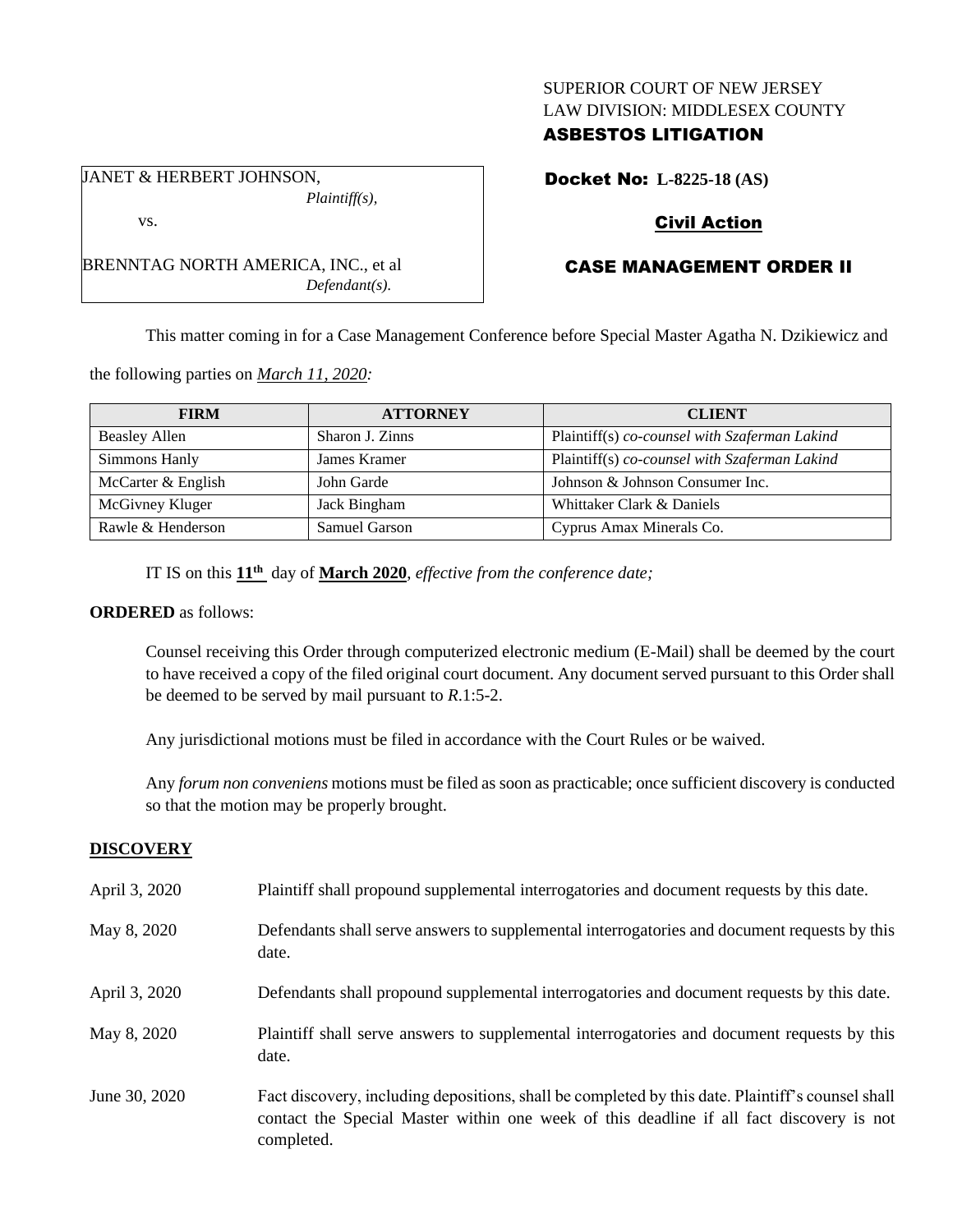## SUPERIOR COURT OF NEW JERSEY LAW DIVISION: MIDDLESEX COUNTY

## ASBESTOS LITIGATION

Docket No: **L-8225-18 (AS)**

# Civil Action

# CASE MANAGEMENT ORDER II

This matter coming in for a Case Management Conference before Special Master Agatha N. Dzikiewicz and

the following parties on *March 11, 2020:*

| <b>FIRM</b>          | <b>ATTORNEY</b> | <b>CLIENT</b>                                 |
|----------------------|-----------------|-----------------------------------------------|
| <b>Beasley Allen</b> | Sharon J. Zinns | Plaintiff(s) co-counsel with Szaferman Lakind |
| Simmons Hanly        | James Kramer    | Plaintiff(s) co-counsel with Szaferman Lakind |
| McCarter & English   | John Garde      | Johnson & Johnson Consumer Inc.               |
| McGivney Kluger      | Jack Bingham    | Whittaker Clark & Daniels                     |
| Rawle & Henderson    | Samuel Garson   | Cyprus Amax Minerals Co.                      |

IT IS on this **11 th** day of **March 2020**, *effective from the conference date;*

*Defendant(s).*

#### **ORDERED** as follows:

Counsel receiving this Order through computerized electronic medium (E-Mail) shall be deemed by the court to have received a copy of the filed original court document. Any document served pursuant to this Order shall be deemed to be served by mail pursuant to *R*.1:5-2.

Any jurisdictional motions must be filed in accordance with the Court Rules or be waived.

Any *forum non conveniens* motions must be filed as soon as practicable; once sufficient discovery is conducted so that the motion may be properly brought.

## **DISCOVERY**

| April 3, 2020 | Plaintiff shall propound supplemental interrogatories and document requests by this date.                                                                                                                   |
|---------------|-------------------------------------------------------------------------------------------------------------------------------------------------------------------------------------------------------------|
| May 8, 2020   | Defendants shall serve answers to supplemental interrogatories and document requests by this<br>date.                                                                                                       |
| April 3, 2020 | Defendants shall propound supplemental interrogatories and document requests by this date.                                                                                                                  |
| May 8, 2020   | Plaintiff shall serve answers to supplemental interrogatories and document requests by this<br>date.                                                                                                        |
| June 30, 2020 | Fact discovery, including depositions, shall be completed by this date. Plaintiff's counsel shall<br>contact the Special Master within one week of this deadline if all fact discovery is not<br>completed. |

*Plaintiff(s),* vs.

BRENNTAG NORTH AMERICA, INC., et al

JANET & HERBERT JOHNSON,